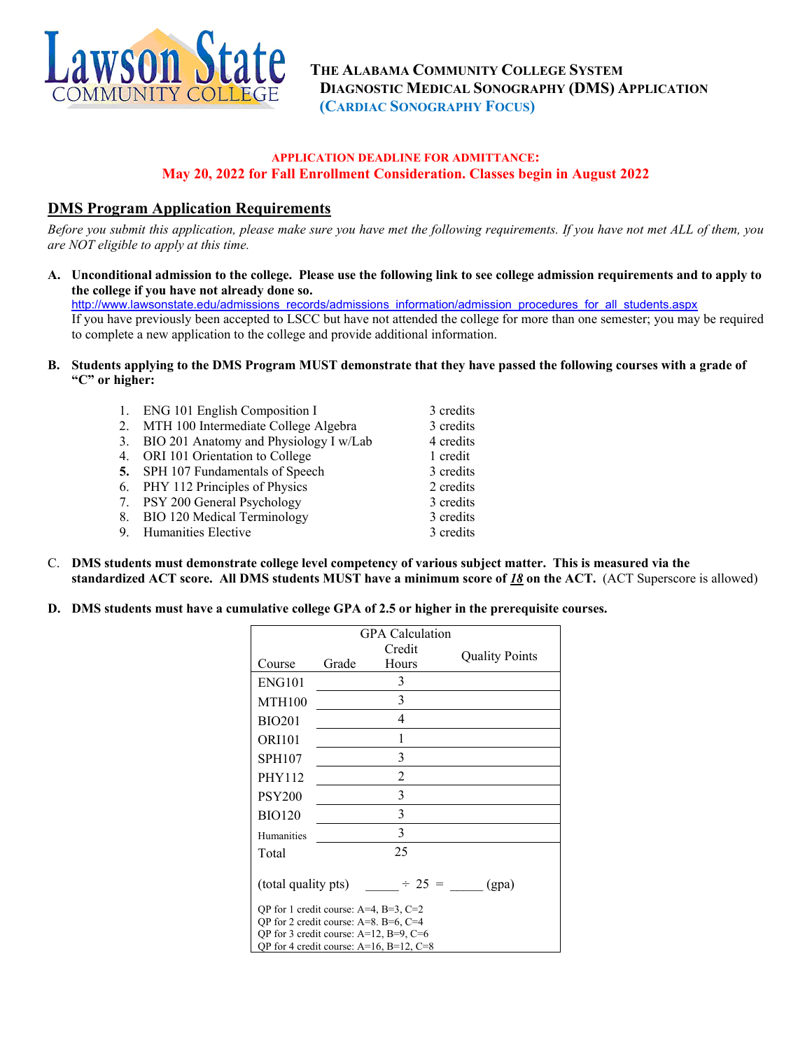

## **APPLICATION DEADLINE FOR ADMITTANCE: May 20, 2022 for Fall Enrollment Consideration. Classes begin in August 2022**

# **DMS Program Application Requirements**

*Before you submit this application, please make sure you have met the following requirements. If you have not met ALL of them, you are NOT eligible to apply at this time.* 

**A. Unconditional admission to the college. Please use the following link to see college admission requirements and to apply to the college if you have not already done so.** 

[http://www.lawsonstate.edu/admissions\\_records/admissions\\_information/admission\\_procedures\\_for\\_all\\_students.aspx](http://www.lawsonstate.edu/admissions_records/admissions_information/admission_procedures_for_all_students.aspx) If you have previously been accepted to LSCC but have not attended the college for more than one semester; you may be required to complete a new application to the college and provide additional information.

**B. Students applying to the DMS Program MUST demonstrate that they have passed the following courses with a grade of "C" or higher:**

| 1. ENG 101 English Composition I          | 3 credits |
|-------------------------------------------|-----------|
| 2. MTH 100 Intermediate College Algebra   | 3 credits |
| 3. BIO 201 Anatomy and Physiology I w/Lab | 4 credits |
| 4. ORI 101 Orientation to College         | 1 credit  |
| 5. SPH 107 Fundamentals of Speech         | 3 credits |
| 6. PHY 112 Principles of Physics          | 2 credits |
| 7. PSY 200 General Psychology             | 3 credits |
| 8. BIO 120 Medical Terminology            | 3 credits |
| 9. Humanities Elective                    | 3 credits |
|                                           |           |

- C. **DMS students must demonstrate college level competency of various subject matter. This is measured via the standardized ACT score. All DMS students MUST have a minimum score of** *18* **on the ACT.** (ACT Superscore is allowed)
- **D. DMS students must have a cumulative college GPA of 2.5 or higher in the prerequisite courses.**

| GPA Calculation                                                                                   |        |                |                       |  |  |  |
|---------------------------------------------------------------------------------------------------|--------|----------------|-----------------------|--|--|--|
|                                                                                                   | Credit |                | <b>Quality Points</b> |  |  |  |
| Course                                                                                            | Grade  | Hours          |                       |  |  |  |
| <b>ENG101</b>                                                                                     |        | 3              |                       |  |  |  |
| <b>MTH100</b>                                                                                     |        | 3              |                       |  |  |  |
| <b>BIO201</b>                                                                                     |        | $\overline{4}$ |                       |  |  |  |
| <b>ORI101</b>                                                                                     |        | 1              |                       |  |  |  |
| <b>SPH107</b>                                                                                     |        | 3              |                       |  |  |  |
| <b>PHY112</b>                                                                                     |        | $\overline{2}$ |                       |  |  |  |
| <b>PSY200</b>                                                                                     |        | 3              |                       |  |  |  |
| <b>BIO120</b>                                                                                     |        | 3              |                       |  |  |  |
| Humanities                                                                                        |        | 3              |                       |  |  |  |
| Total                                                                                             |        | 25             |                       |  |  |  |
| (total quality pts)<br>$\div 25 =$<br>(gpa)                                                       |        |                |                       |  |  |  |
| QP for 1 credit course: $A=4$ , $B=3$ , $C=2$                                                     |        |                |                       |  |  |  |
| QP for 2 credit course: $A=8$ . B=6, C=4                                                          |        |                |                       |  |  |  |
| QP for 3 credit course: $A=12$ , $B=9$ , $C=6$<br>QP for 4 credit course: $A=16$ , $B=12$ , $C=8$ |        |                |                       |  |  |  |
|                                                                                                   |        |                |                       |  |  |  |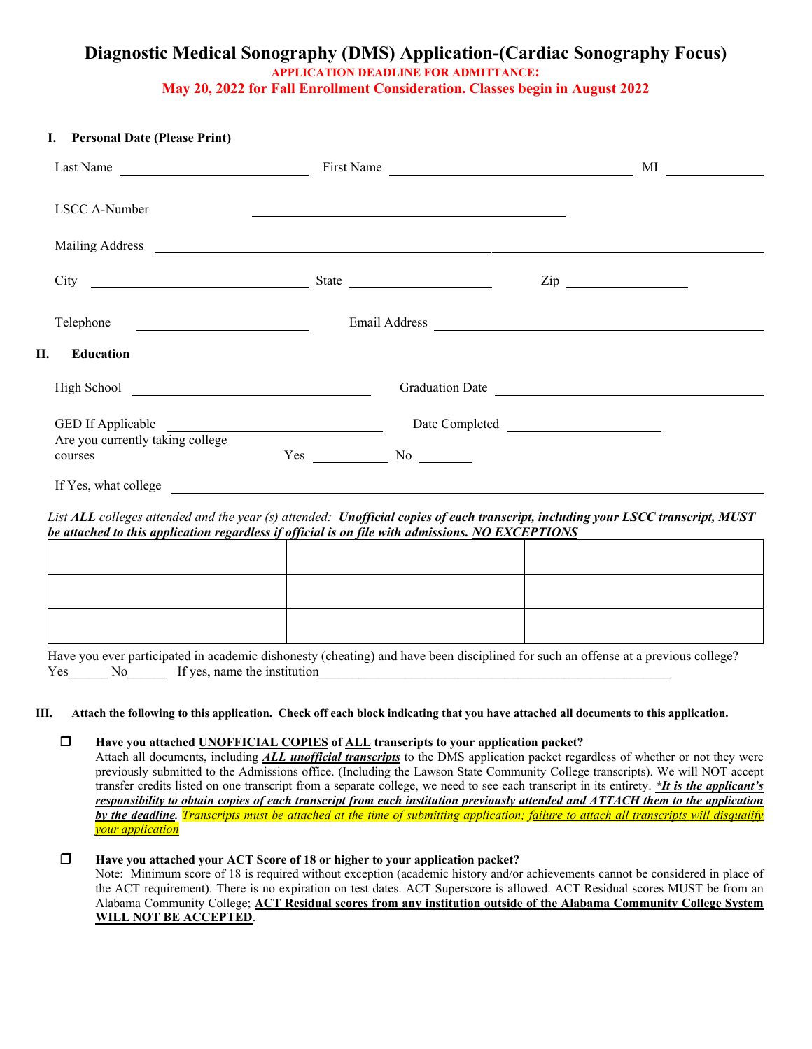# **Diagnostic Medical Sonography (DMS) Application-(Cardiac Sonography Focus) APPLICATION DEADLINE FOR ADMITTANCE: May 20, 2022 for Fall Enrollment Consideration. Classes begin in August 2022**

#### **I. Personal Date (Please Print)**

| Last Name                                                 | First Name                             |                 |
|-----------------------------------------------------------|----------------------------------------|-----------------|
| LSCC A-Number                                             |                                        |                 |
|                                                           |                                        |                 |
| City<br><u> 1989 - Johann Barbara, martxa alemaniar a</u> |                                        | $\mathsf{Zip}$  |
| Telephone                                                 |                                        |                 |
| П.<br><b>Education</b>                                    |                                        |                 |
|                                                           |                                        | Graduation Date |
| GED If Applicable<br>Are you currently taking college     |                                        |                 |
| courses<br>If Yes, what college                           | Yes<br>$No \ \underline{\hspace{1cm}}$ |                 |

*List ALL colleges attended and the year (s) attended: Unofficial copies of each transcript, including your LSCC transcript, MUST be attached to this application regardless if official is on file with admissions. NO EXCEPTIONS*

Have you ever participated in academic dishonesty (cheating) and have been disciplined for such an offense at a previous college? Yes No If yes, name the institution

#### **III. Attach the following to this application. Check off each block indicating that you have attached all documents to this application.**

### **Have you attached UNOFFICIAL COPIES of ALL transcripts to your application packet?**

Attach all documents, including *ALL unofficial transcripts* to the DMS application packet regardless of whether or not they were previously submitted to the Admissions office. (Including the Lawson State Community College transcripts). We will NOT accept transfer credits listed on one transcript from a separate college, we need to see each transcript in its entirety. *\*It is the applicant's responsibility to obtain copies of each transcript from each institution previously attended and ATTACH them to the application by the deadline. Transcripts must be attached at the time of submitting application; failure to attach all transcripts will disqualify your application*

## **Have you attached your ACT Score of 18 or higher to your application packet?**

Note: Minimum score of 18 is required without exception (academic history and/or achievements cannot be considered in place of the ACT requirement). There is no expiration on test dates. ACT Superscore is allowed. ACT Residual scores MUST be from an Alabama Community College; **ACT Residual scores from any institution outside of the Alabama Community College System WILL NOT BE ACCEPTED**.